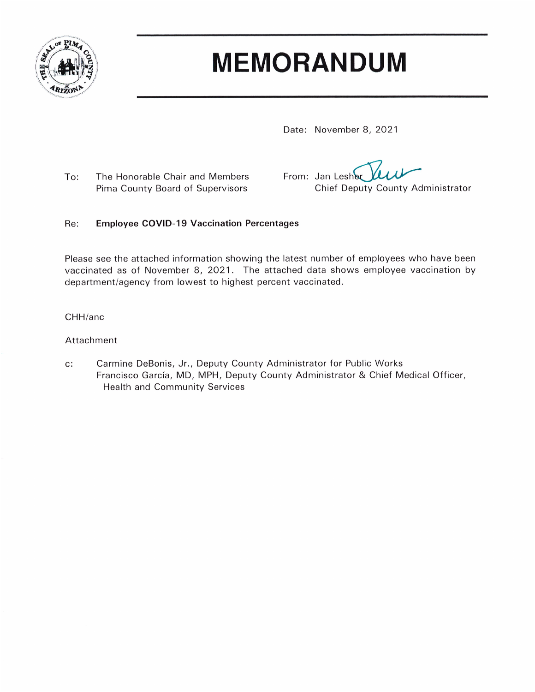

# **MEMORANDUM**

Date: November 8, 2021

To: The Honorable Chair and Members Pima County Board of Supervisors

From: Jan Lesher Chief Deputy County Administrator

#### $Re:$ **Employee COVID-19 Vaccination Percentages**

Please see the attached information showing the latest number of employees who have been vaccinated as of November 8, 2021. The attached data shows employee vaccination by department/agency from lowest to highest percent vaccinated.

### CHH/anc

### Attachment

Carmine DeBonis, Jr., Deputy County Administrator for Public Works  $c$ : Francisco García, MD, MPH, Deputy County Administrator & Chief Medical Officer, **Health and Community Services**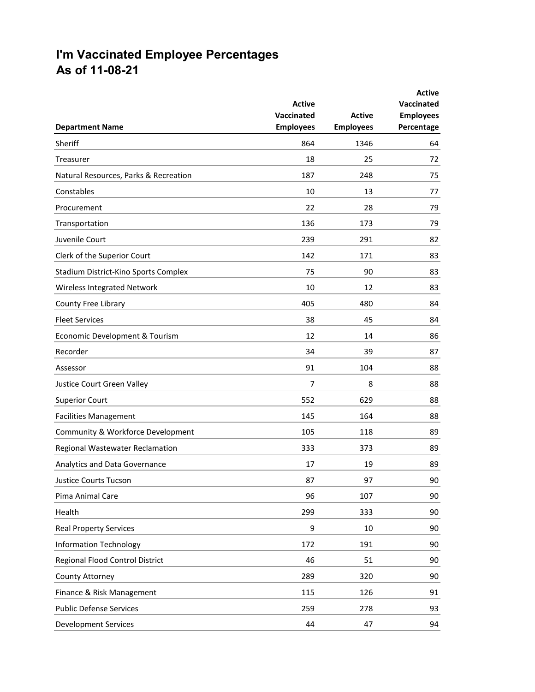## **I'm Vaccinated Employee Percentages As of 11-08-21**

|                                        |                             |                                   | <b>Active</b>                  |
|----------------------------------------|-----------------------------|-----------------------------------|--------------------------------|
|                                        | <b>Active</b><br>Vaccinated |                                   | <b>Vaccinated</b>              |
| <b>Department Name</b>                 | <b>Employees</b>            | <b>Active</b><br><b>Employees</b> | <b>Employees</b><br>Percentage |
| Sheriff                                | 864                         | 1346                              | 64                             |
| Treasurer                              | 18                          | 25                                | 72                             |
| Natural Resources, Parks & Recreation  | 187                         | 248                               | 75                             |
| Constables                             | 10                          | 13                                | 77                             |
| Procurement                            | 22                          | 28                                | 79                             |
| Transportation                         | 136                         | 173                               | 79                             |
| Juvenile Court                         | 239                         | 291                               | 82                             |
| Clerk of the Superior Court            | 142                         | 171                               | 83                             |
| Stadium District-Kino Sports Complex   | 75                          | 90                                | 83                             |
| Wireless Integrated Network            | 10                          | 12                                | 83                             |
| County Free Library                    | 405                         | 480                               | 84                             |
| <b>Fleet Services</b>                  | 38                          | 45                                | 84                             |
| Economic Development & Tourism         | 12                          | 14                                | 86                             |
| Recorder                               | 34                          | 39                                | 87                             |
| Assessor                               | 91                          | 104                               | 88                             |
| Justice Court Green Valley             | 7                           | 8                                 | 88                             |
| <b>Superior Court</b>                  | 552                         | 629                               | 88                             |
| <b>Facilities Management</b>           | 145                         | 164                               | 88                             |
| Community & Workforce Development      | 105                         | 118                               | 89                             |
| Regional Wastewater Reclamation        | 333                         | 373                               | 89                             |
| Analytics and Data Governance          | 17                          | 19                                | 89                             |
| Justice Courts Tucson                  | 87                          | 97                                | 90                             |
| Pima Animal Care                       | 96                          | 107                               | 90                             |
| Health                                 | 299                         | 333                               | 90                             |
| <b>Real Property Services</b>          | 9                           | 10                                | 90                             |
| <b>Information Technology</b>          | 172                         | 191                               | 90                             |
| <b>Regional Flood Control District</b> | 46                          | 51                                | 90                             |
| County Attorney                        | 289                         | 320                               | 90                             |
| Finance & Risk Management              | 115                         | 126                               | 91                             |
| <b>Public Defense Services</b>         | 259                         | 278                               | 93                             |
| <b>Development Services</b>            | 44                          | 47                                | 94                             |